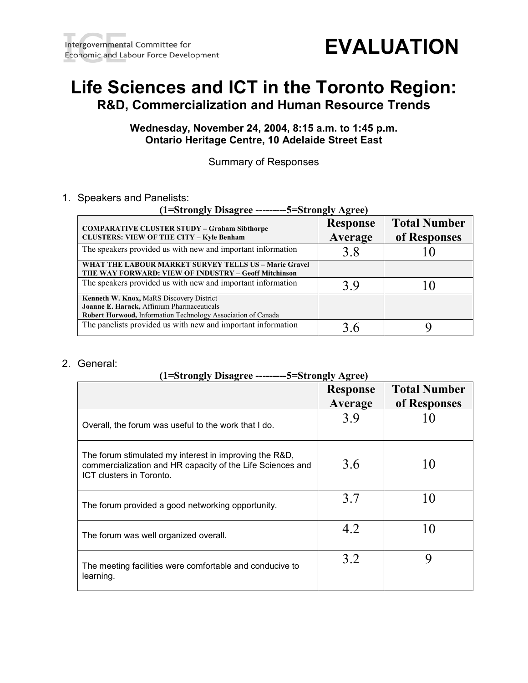

# **Life Sciences and ICT in the Toronto Region: R&D, Commercialization and Human Resource Trends**

# **Wednesday, November 24, 2004, 8:15 a.m. to 1:45 p.m. Ontario Heritage Centre, 10 Adelaide Street East**

Summary of Responses

## 1. Speakers and Panelists:

| (1=Strongly Disagree ---------5=Strongly Agree)                                                                                                               |                            |                                     |  |
|---------------------------------------------------------------------------------------------------------------------------------------------------------------|----------------------------|-------------------------------------|--|
| <b>COMPARATIVE CLUSTER STUDY - Graham Sibthorpe</b><br><b>CLUSTERS: VIEW OF THE CITY - Kyle Benham</b>                                                        | <b>Response</b><br>Average | <b>Total Number</b><br>of Responses |  |
| The speakers provided us with new and important information                                                                                                   | 3.8                        |                                     |  |
| WHAT THE LABOUR MARKET SURVEY TELLS US - Marie Gravel<br>THE WAY FORWARD: VIEW OF INDUSTRY – Geoff Mitchinson                                                 |                            |                                     |  |
| The speakers provided us with new and important information                                                                                                   | 39                         |                                     |  |
| <b>Kenneth W. Knox, MaRS Discovery District</b><br>Joanne E. Harack, Affinium Pharmaceuticals<br>Robert Horwood, Information Technology Association of Canada |                            |                                     |  |
| The panelists provided us with new and important information                                                                                                  |                            |                                     |  |

## 2. General:

# **(1=Strongly Disagree ---------5=Strongly Agree)**

|                                                                                                                                                  | <b>Response</b><br>Average | <b>Total Number</b><br>of Responses |
|--------------------------------------------------------------------------------------------------------------------------------------------------|----------------------------|-------------------------------------|
| Overall, the forum was useful to the work that I do.                                                                                             | 3.9                        |                                     |
| The forum stimulated my interest in improving the R&D,<br>commercialization and HR capacity of the Life Sciences and<br>ICT clusters in Toronto. | 3.6                        | 10                                  |
| The forum provided a good networking opportunity.                                                                                                | 3.7                        |                                     |
| The forum was well organized overall.                                                                                                            | 4.2                        |                                     |
| The meeting facilities were comfortable and conducive to<br>learning.                                                                            | 3.2                        | q                                   |